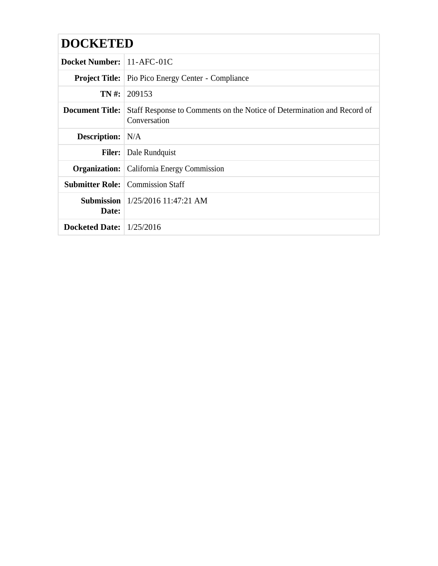# **DOCKETED**

| <b>Docket Number:</b> 11-AFC-01C |                                                                                         |  |  |  |  |
|----------------------------------|-----------------------------------------------------------------------------------------|--|--|--|--|
|                                  | <b>Project Title:</b> Pio Pico Energy Center - Compliance                               |  |  |  |  |
|                                  | $TN \#: 209153$                                                                         |  |  |  |  |
| <b>Document Title:</b>           | Staff Response to Comments on the Notice of Determination and Record of<br>Conversation |  |  |  |  |
| <b>Description:</b> N/A          |                                                                                         |  |  |  |  |
|                                  | <b>Filer:</b> Dale Rundquist                                                            |  |  |  |  |
|                                  | <b>Organization:</b> California Energy Commission                                       |  |  |  |  |
|                                  | <b>Submitter Role:</b> Commission Staff                                                 |  |  |  |  |
| Date:                            | <b>Submission</b>   $1/25/2016$ 11:47:21 AM                                             |  |  |  |  |
| Docketed Date: $1/25/2016$       |                                                                                         |  |  |  |  |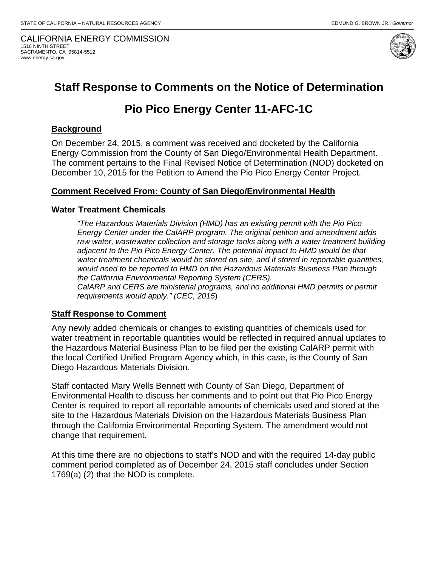CALIFORNIA ENERGY COMMISSION 1516 NINTH STREET SACRAMENTO, CA 95814-5512 www.energy.ca.gov



# **Staff Response to Comments on the Notice of Determination**

# **Pio Pico Energy Center 11-AFC-1C**

#### **Background**

On December 24, 2015, a comment was received and docketed by the California Energy Commission from the County of San Diego/Environmental Health Department. The comment pertains to the Final Revised Notice of Determination (NOD) docketed on December 10, 2015 for the Petition to Amend the Pio Pico Energy Center Project.

#### **Comment Received From: County of San Diego/Environmental Health**

#### **Water Treatment Chemicals**

*"The Hazardous Materials Division (HMD) has an existing permit with the Pio Pico Energy Center under the CalARP program. The original petition and amendment adds raw water, wastewater collection and storage tanks along with a water treatment building*  adjacent to the Pio Pico Energy Center. The potential impact to HMD would be that *water treatment chemicals would be stored on site, and if stored in reportable quantities, would need to be reported to HMD on the Hazardous Materials Business Plan through the California Environmental Reporting System (CERS). CalARP and CERS are ministerial programs, and no additional HMD permits or permit requirements would apply." (CEC, 2015*)

#### **Staff Response to Comment**

Any newly added chemicals or changes to existing quantities of chemicals used for water treatment in reportable quantities would be reflected in required annual updates to the Hazardous Material Business Plan to be filed per the existing CalARP permit with the local Certified Unified Program Agency which, in this case, is the County of San Diego Hazardous Materials Division.

Staff contacted Mary Wells Bennett with County of San Diego, Department of Environmental Health to discuss her comments and to point out that Pio Pico Energy Center is required to report all reportable amounts of chemicals used and stored at the site to the Hazardous Materials Division on the Hazardous Materials Business Plan through the California Environmental Reporting System. The amendment would not change that requirement.

At this time there are no objections to staff's NOD and with the required 14-day public comment period completed as of December 24, 2015 staff concludes under Section 1769(a) (2) that the NOD is complete.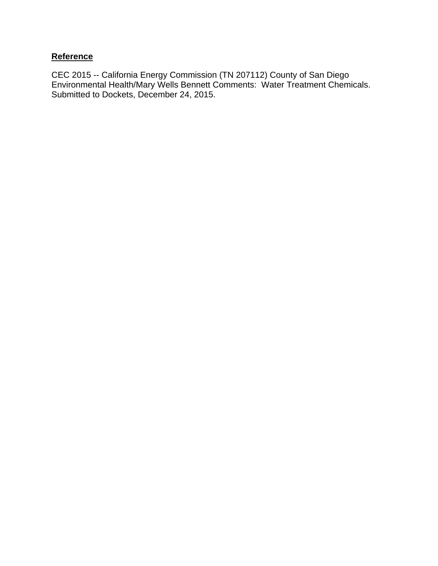### **Reference**

CEC 2015 -- California Energy Commission (TN 207112) County of San Diego Environmental Health/Mary Wells Bennett Comments: Water Treatment Chemicals. Submitted to Dockets, December 24, 2015.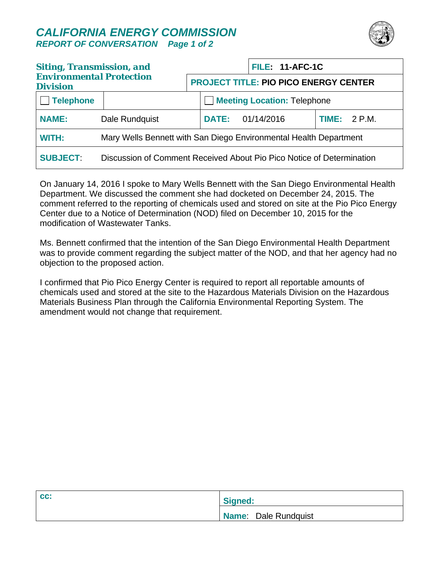### *CALIFORNIA ENERGY COMMISSION REPORT OF CONVERSATION Page 1 of 2*



| <b>Siting, Transmission, and</b><br><b>Environmental Protection</b><br><b>Division</b> |                                                                       |                                              |                         | <b>FILE: 11-AFC-1C</b>             |                |
|----------------------------------------------------------------------------------------|-----------------------------------------------------------------------|----------------------------------------------|-------------------------|------------------------------------|----------------|
|                                                                                        |                                                                       | <b>PROJECT TITLE: PIO PICO ENERGY CENTER</b> |                         |                                    |                |
| <b>Telephone</b>                                                                       |                                                                       |                                              |                         | <b>Meeting Location: Telephone</b> |                |
| <b>NAME:</b>                                                                           | Dale Rundquist                                                        |                                              | <b>DATE: 01/14/2016</b> |                                    | TIME: $2 P.M.$ |
| WITH:                                                                                  | Mary Wells Bennett with San Diego Environmental Health Department     |                                              |                         |                                    |                |
| <b>SUBJECT:</b>                                                                        | Discussion of Comment Received About Pio Pico Notice of Determination |                                              |                         |                                    |                |

On January 14, 2016 I spoke to Mary Wells Bennett with the San Diego Environmental Health Department. We discussed the comment she had docketed on December 24, 2015. The comment referred to the reporting of chemicals used and stored on site at the Pio Pico Energy Center due to a Notice of Determination (NOD) filed on December 10, 2015 for the modification of Wastewater Tanks.

Ms. Bennett confirmed that the intention of the San Diego Environmental Health Department was to provide comment regarding the subject matter of the NOD, and that her agency had no objection to the proposed action.

I confirmed that Pio Pico Energy Center is required to report all reportable amounts of chemicals used and stored at the site to the Hazardous Materials Division on the Hazardous Materials Business Plan through the California Environmental Reporting System. The amendment would not change that requirement.

| CC: | Signed:              |
|-----|----------------------|
|     | Name: Dale Rundquist |